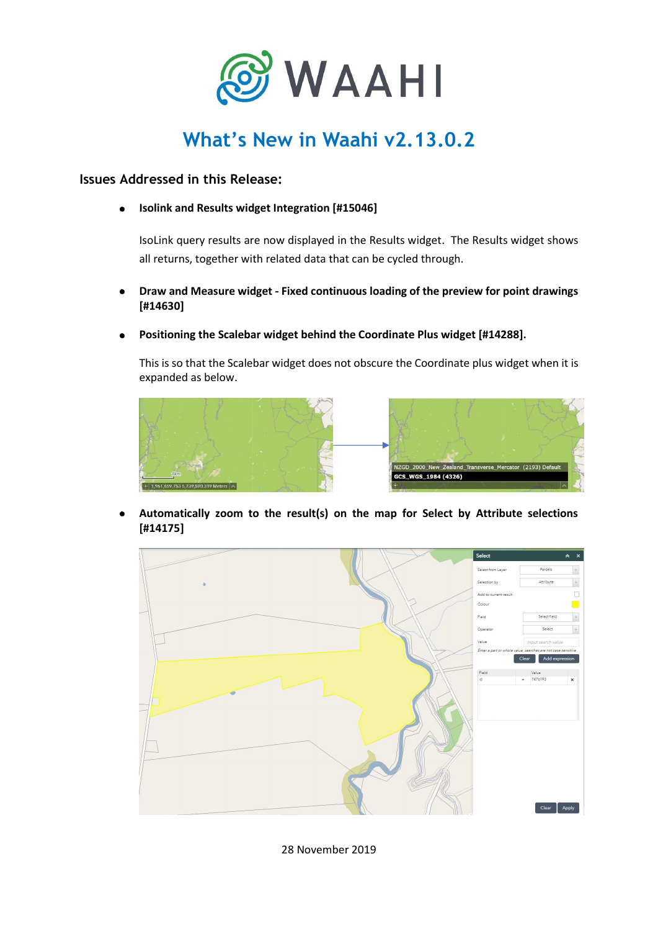

# **What's New in Waahi v2.13.0.2**

**Issues Addressed in this Release:**

**Isolink and Results widget Integration [#15046]**  $\bullet$ 

IsoLink query results are now displayed in the Results widget. The Results widget shows all returns, together with related data that can be cycled through.

- **Draw and Measure widget - Fixed continuous loading of the preview for point drawings [#14630]**
- **Positioning the Scalebar widget behind the Coordinate Plus widget [#14288].**

This is so that the Scalebar widget does not obscure the Coordinate plus widget when it is expanded as below.



**Automatically zoom to the result(s) on the map for Select by Attribute selections [#14175]**



28 November 2019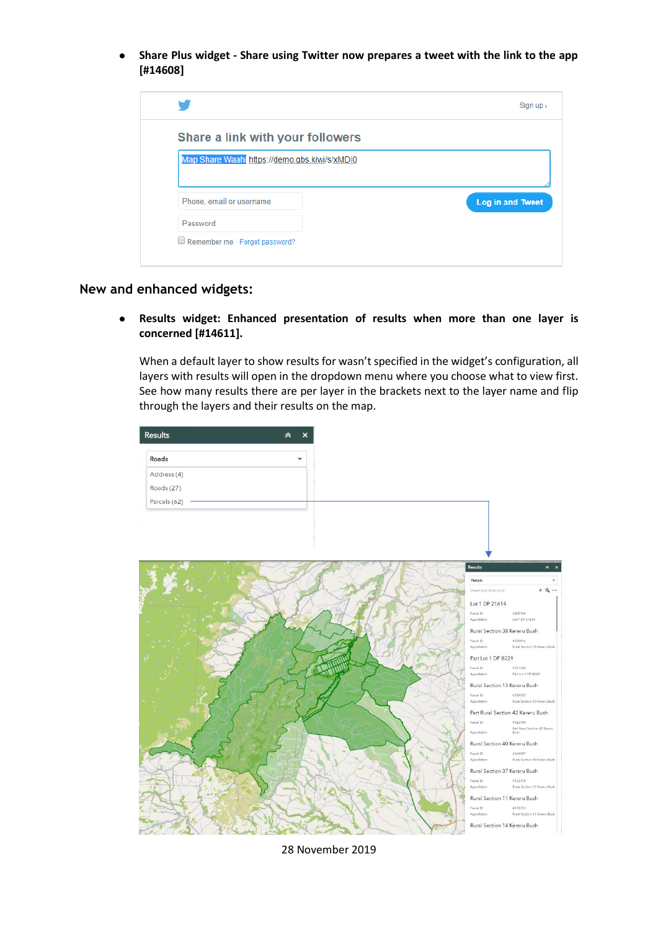**Share Plus widget - Share using Twitter now prepares a tweet with the link to the app [#14608]**

| Share a link with your followers              |                         |
|-----------------------------------------------|-------------------------|
| Map Share Waahi https://demo.gbs.kiwi/s/xMDI0 |                         |
|                                               |                         |
|                                               |                         |
| Phone, email or username                      | <b>Log in and Tweet</b> |

#### **New and enhanced widgets:**

**Results widget: Enhanced presentation of results when more than one layer is concerned [#14611].**

When a default layer to show results for wasn't specified in the widget's configuration, all layers with results will open in the dropdown menu where you choose what to view first. See how many results there are per layer in the brackets next to the layer name and flip through the layers and their results on the map.



28 November 2019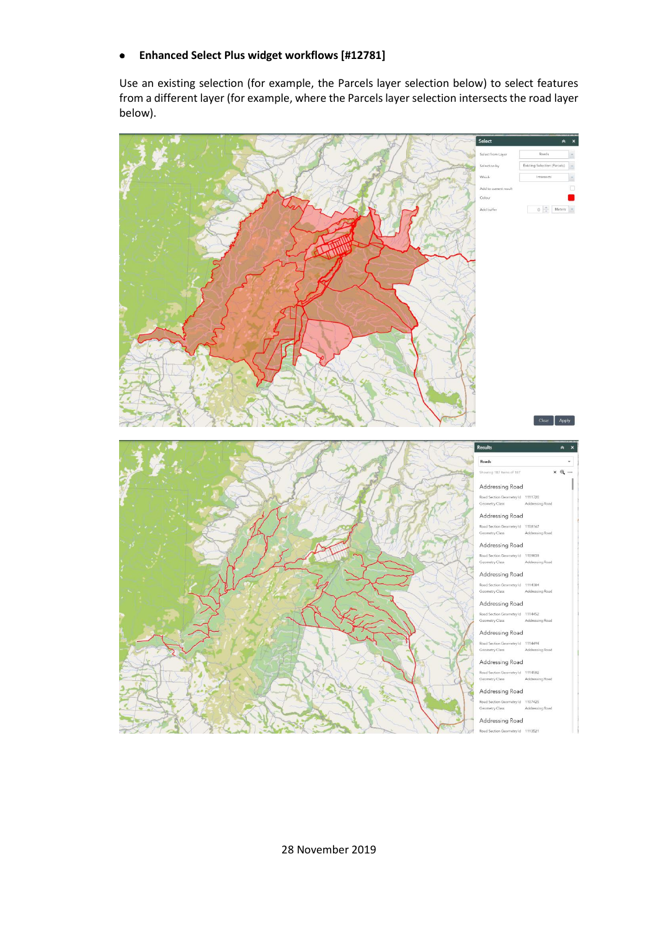#### **Enhanced Select Plus widget workflows [#12781]**  $\bullet$

Use an existing selection (for example, the Parcels layer selection below) to select features from a different layer (for example, where the Parcels layer selection intersects the road layer below).

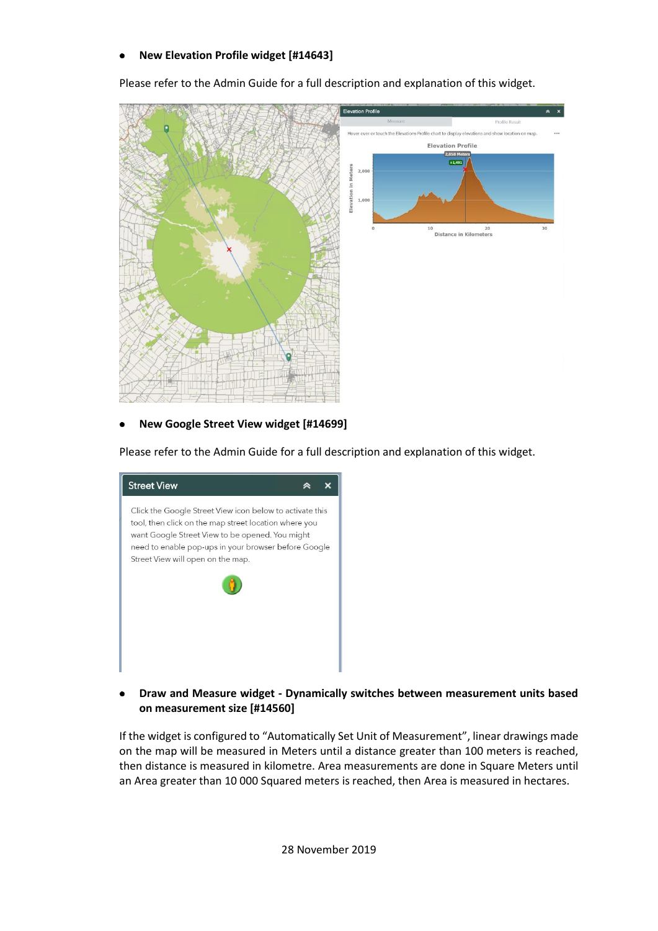### **New Elevation Profile widget [#14643]**

Please refer to the Admin Guide for a full description and explanation of this widget.



### **New Google Street View widget [#14699]**

Please refer to the Admin Guide for a full description and explanation of this widget.

| <b>Street View</b>                                                                                                                                                                                                                                                |  |
|-------------------------------------------------------------------------------------------------------------------------------------------------------------------------------------------------------------------------------------------------------------------|--|
| Click the Google Street View icon below to activate this<br>tool, then click on the map street location where you<br>want Google Street View to be opened. You might<br>need to enable pop-ups in your browser before Google<br>Street View will open on the map. |  |
|                                                                                                                                                                                                                                                                   |  |
|                                                                                                                                                                                                                                                                   |  |

### **Draw and Measure widget - Dynamically switches between measurement units based on measurement size [#14560]**

If the widget is configured to "Automatically Set Unit of Measurement", linear drawings made on the map will be measured in Meters until a distance greater than 100 meters is reached, then distance is measured in kilometre. Area measurements are done in Square Meters until an Area greater than 10 000 Squared meters is reached, then Area is measured in hectares.